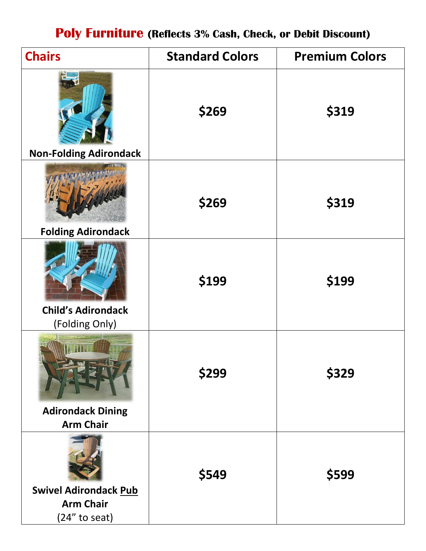### **Poly Furniture (Reflects 3% Cash, Check, or Debit Discount)**

| <b>Chairs</b>                                    | <b>Standard Colors</b> | <b>Premium Colors</b> |
|--------------------------------------------------|------------------------|-----------------------|
|                                                  | \$269                  | \$319                 |
| <b>Non-Folding Adirondack</b>                    |                        |                       |
|                                                  | \$269                  | \$319                 |
| <b>Folding Adirondack</b>                        |                        |                       |
| <b>Child's Adirondack</b>                        | \$199                  | \$199                 |
| (Folding Only)                                   |                        |                       |
| <b>Adirondack Dining</b>                         | \$299                  | \$329                 |
| <b>Arm Chair</b>                                 |                        |                       |
|                                                  | \$549                  | \$599                 |
| <b>Swivel Adirondack Pub</b><br><b>Arm Chair</b> |                        |                       |
| (24" to seat)                                    |                        |                       |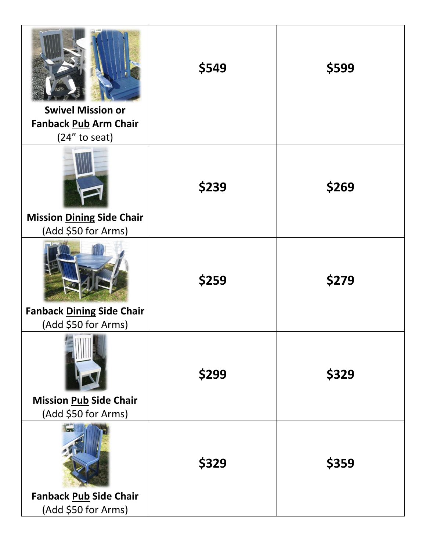| <b>Swivel Mission or</b><br>Fanback Pub Arm Chair<br>(24" to seat) | \$549 | \$599 |
|--------------------------------------------------------------------|-------|-------|
| <b>Mission Dining Side Chair</b><br>(Add \$50 for Arms)            | \$239 | \$269 |
| <b>Fanback Dining Side Chair</b><br>(Add \$50 for Arms)            | \$259 | \$279 |
| $=$<br><b>Mission Pub Side Chair</b><br>(Add \$50 for Arms)        | \$299 | \$329 |
| <b>Fanback Pub Side Chair</b><br>(Add \$50 for Arms)               | \$329 | \$359 |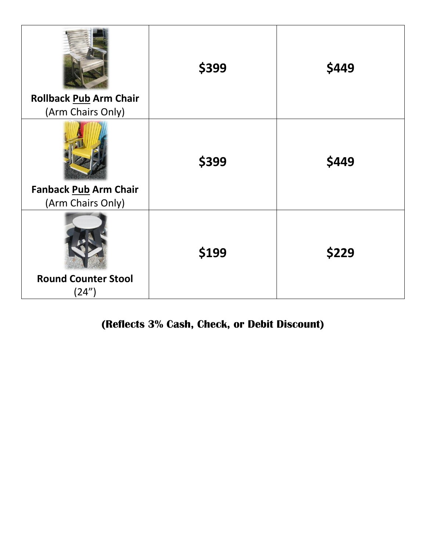| <b>Rollback Pub Arm Chair</b> | \$399 | \$449 |
|-------------------------------|-------|-------|
| (Arm Chairs Only)             |       |       |
|                               | \$399 | \$449 |
| Fanback Pub Arm Chair         |       |       |
| (Arm Chairs Only)             |       |       |
|                               | \$199 | \$229 |
| <b>Round Counter Stool</b>    |       |       |
| (24")                         |       |       |

### **(Reflects 3% Cash, Check, or Debit Discount)**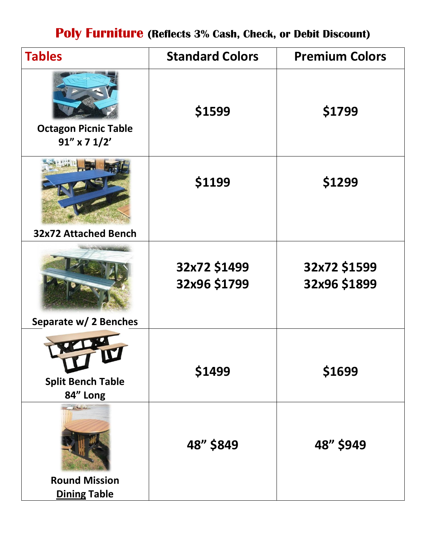## **Poly Furniture (Reflects 3% Cash, Check, or Debit Discount)**

| <b>Tables</b>                                    | <b>Standard Colors</b>       | <b>Premium Colors</b>        |
|--------------------------------------------------|------------------------------|------------------------------|
| <b>Octagon Picnic Table</b><br>$91''$ x 7 $1/2'$ | \$1599                       | \$1799                       |
| <b>32x72 Attached Bench</b>                      | \$1199                       | \$1299                       |
|                                                  |                              |                              |
|                                                  | 32x72 \$1499<br>32x96 \$1799 | 32x72 \$1599<br>32x96 \$1899 |
| Separate w/2 Benches                             |                              |                              |
| <b>Split Bench Table</b><br>84" Long             | \$1499                       | \$1699                       |
| $\frac{1}{2}$                                    | 48" \$849                    | 48" \$949                    |
| <b>Round Mission</b><br><b>Dining Table</b>      |                              |                              |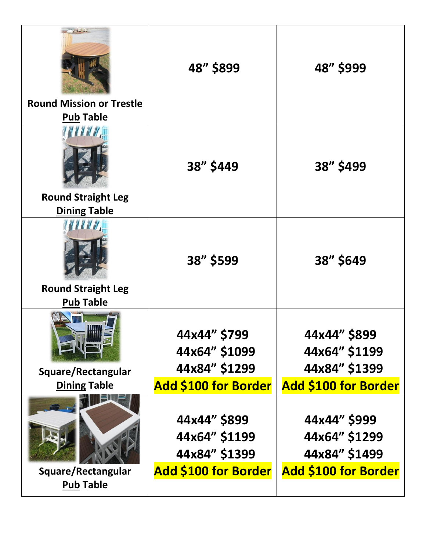|                                                     | 48" \$899                                      | 48" \$999                                      |
|-----------------------------------------------------|------------------------------------------------|------------------------------------------------|
| <b>Round Mission or Trestle</b><br><b>Pub Table</b> |                                                |                                                |
| <b>Round Straight Leg</b>                           | 38" \$449                                      | 38" \$499                                      |
| <b>Dining Table</b>                                 |                                                |                                                |
| <b>Round Straight Leg</b>                           | 38" \$599                                      | 38" \$649                                      |
| <b>Pub Table</b>                                    |                                                |                                                |
|                                                     | 44x44" \$799<br>44x64" \$1099                  | 44x44" \$899<br>44x64" \$1199                  |
| Square/Rectangular                                  | 44x84" \$1299                                  | 44x84" \$1399                                  |
| <b>Dining Table</b>                                 | <b>Add \$100 for Border</b>                    | <b>Add \$100 for Border</b>                    |
|                                                     | 44x44" \$899<br>44x64" \$1199<br>44x84" \$1399 | 44x44" \$999<br>44x64" \$1299<br>44x84" \$1499 |
| Square/Rectangular                                  | <b>Add \$100 for Border</b>                    | <b>Add \$100 for Border</b>                    |
| <b>Pub Table</b>                                    |                                                |                                                |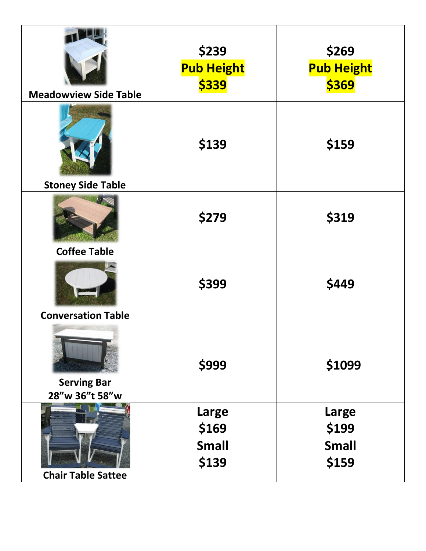| <b>Meadowview Side Table</b>         | \$239<br><b>Pub Height</b><br>\$339            | \$269<br><b>Pub Height</b><br>\$369     |
|--------------------------------------|------------------------------------------------|-----------------------------------------|
| <b>Stoney Side Table</b>             | \$139                                          | \$159                                   |
| <b>Coffee Table</b>                  | \$279                                          | \$319                                   |
| <b>Conversation Table</b>            | \$399                                          | \$449                                   |
| <b>Serving Bar</b><br>28"w 36"t 58"w | \$999                                          | \$1099                                  |
| <b>Chair Table Sattee</b>            | <b>Large</b><br>\$169<br><b>Small</b><br>\$139 | Large<br>\$199<br><b>Small</b><br>\$159 |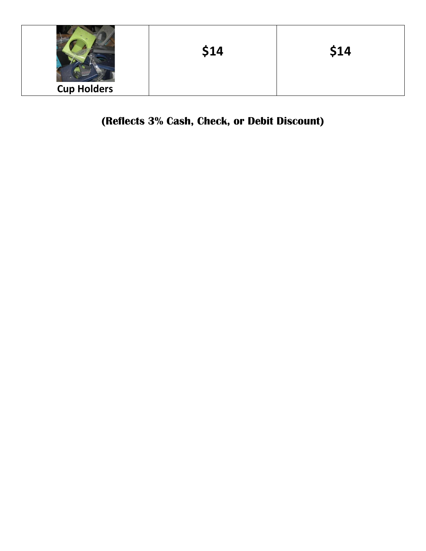|                    | \$14 | \$14 |
|--------------------|------|------|
| <b>Cup Holders</b> |      |      |

#### **(Reflects 3% Cash, Check, or Debit Discount)**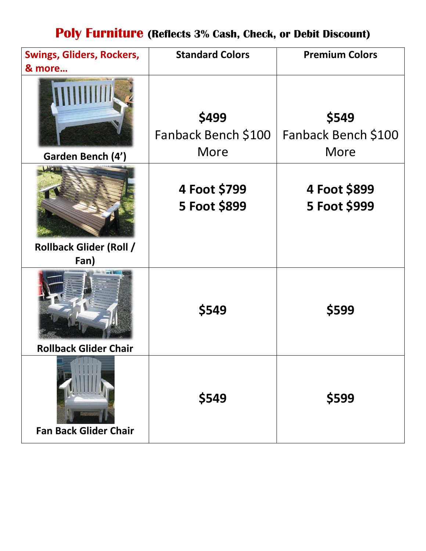# **Poly Furniture (Reflects 3% Cash, Check, or Debit Discount)**

| <b>Swings, Gliders, Rockers,</b>       | <b>Standard Colors</b>               | <b>Premium Colors</b>                |
|----------------------------------------|--------------------------------------|--------------------------------------|
| & more                                 |                                      |                                      |
| Garden Bench (4')                      | \$499<br>Fanback Bench \$100<br>More | \$549<br>Fanback Bench \$100<br>More |
| <b>Rollback Glider (Roll /</b><br>Fan) | 4 Foot \$799<br>5 Foot \$899         | 4 Foot \$899<br>5 Foot \$999         |
| <b>Rollback Glider Chair</b>           | \$549                                | \$599                                |
| <b>Fan Back Glider Chair</b>           | \$549                                | \$599                                |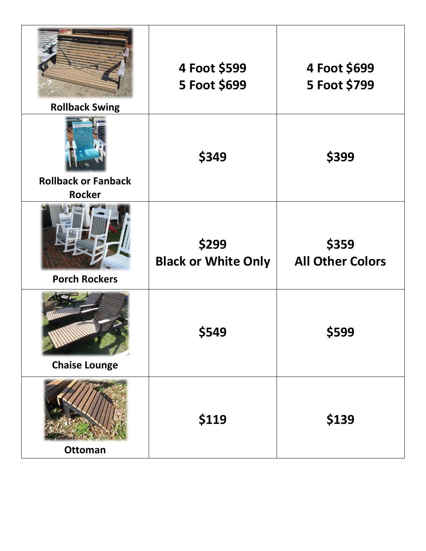| <b>Rollback Swing</b>                       | 4 Foot \$599<br>5 Foot \$699        | 4 Foot \$699<br>5 Foot \$799     |
|---------------------------------------------|-------------------------------------|----------------------------------|
| <b>Rollback or Fanback</b><br><b>Rocker</b> | \$349                               | \$399                            |
| <b>Porch Rockers</b>                        | \$299<br><b>Black or White Only</b> | \$359<br><b>All Other Colors</b> |
| <b>Chaise Lounge</b>                        | \$549                               | \$599                            |
| <b>Ottoman</b>                              | \$119                               | \$139                            |